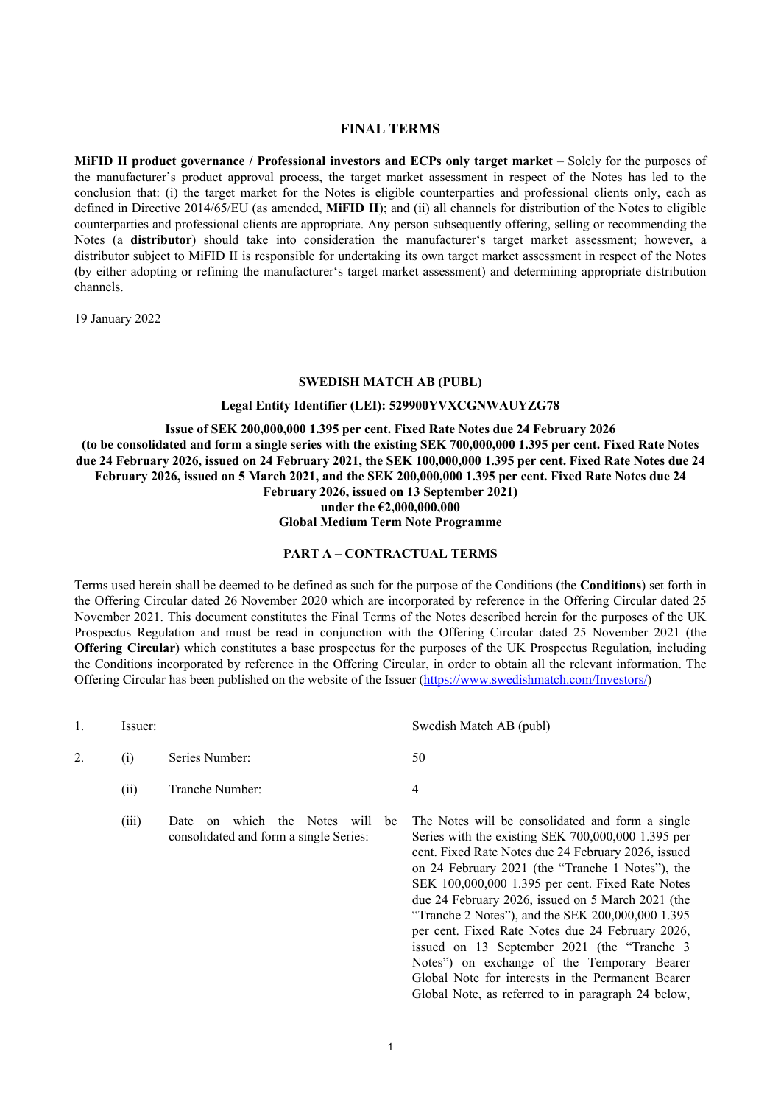# **FINAL TERMS**

**MiFID II product governance / Professional investors and ECPs only target market – Solely for the purposes of** the manufacturer's product approval process, the target market assessment in respect of the Notes has led to the conclusion that: (i) the target market for the Notes is eligible counterparties and professional clients only, each as defined in Directive 2014/65/EU (as amended, **MiFID II**); and (ii) all channels for distribution of the Notes to eligible counterparties and professional clients are appropriate. Any person subsequently offering, selling or recommending the Notes (a **distributor**) should take into consideration the manufacturer's target market assessment; however, a distributor subject to MiFID II is responsible for undertaking its own target market assessment in respect of the Notes (by either adopting or refining the manufacturer's target market assessment) and determining appropriate distribution channels.

19 January 2022

### **SWEDISH MATCH AB (PUBL)**

#### **Legal Entity Identifier (LEI): 529900YVXCGNWAUYZG78**

**Issue of SEK 200,000,000 1.395 per cent. Fixed Rate Notes due 24 February 2026 (to be consolidated and form a single series with the existing SEK 700,000,000 1.395 per cent. Fixed Rate Notes due 24 February 2026, issued on 24 February 2021, the SEK 100,000,000 1.395 per cent. Fixed Rate Notes due 24 February 2026, issued on 5 March 2021, and the SEK 200,000,000 1.395 per cent. Fixed Rate Notes due 24 February 2026, issued on 13 September 2021)**

**under the €2,000,000,000 Global Medium Term Note Programme**

# **PART A – CONTRACTUAL TERMS**

Terms used herein shall be deemed to be defined as such for the purpose of the Conditions (the **Conditions**) set forth in the Offering Circular dated 26 November 2020 which are incorporated by reference in the Offering Circular dated 25 November 2021. This document constitutes the Final Terms of the Notes described herein for the purposes of the UK Prospectus Regulation and must be read in conjunction with the Offering Circular dated 25 November 2021 (the **Offering Circular**) which constitutes a base prospectus for the purposes of the UK Prospectus Regulation, including the Conditions incorporated by reference in the Offering Circular, in order to obtain all the relevant information. The Offering Circular has been published on the website of the Issuer [\(https://www.swedishmatch.com/Investors/\)](https://www.swedishmatch.com/Investors/)

|    | Issuer: |                                                                                          | Swedish Match AB (publ)                                                                                                                                                                                                                                                                                                                                                                                                                                                            |
|----|---------|------------------------------------------------------------------------------------------|------------------------------------------------------------------------------------------------------------------------------------------------------------------------------------------------------------------------------------------------------------------------------------------------------------------------------------------------------------------------------------------------------------------------------------------------------------------------------------|
| 2. | (i)     | Series Number:                                                                           | 50                                                                                                                                                                                                                                                                                                                                                                                                                                                                                 |
|    | (ii)    | Tranche Number:                                                                          | 4                                                                                                                                                                                                                                                                                                                                                                                                                                                                                  |
|    | (iii)   | which the<br>Notes<br>Date<br>will<br>on<br>be<br>consolidated and form a single Series: | The Notes will be consolidated and form a single<br>Series with the existing SEK 700,000,000 1.395 per<br>cent. Fixed Rate Notes due 24 February 2026, issued<br>on 24 February 2021 (the "Tranche 1 Notes"), the<br>SEK 100,000,000 1.395 per cent. Fixed Rate Notes<br>due 24 February 2026, issued on 5 March 2021 (the<br>"Tranche 2 Notes"), and the SEK 200,000,000 1.395<br>per cent. Fixed Rate Notes due 24 February 2026,<br>issued on 13 September 2021 (the "Tranche 3 |

Notes") on exchange of the Temporary Bearer Global Note for interests in the Permanent Bearer Global Note, as referred to in paragraph 24 below,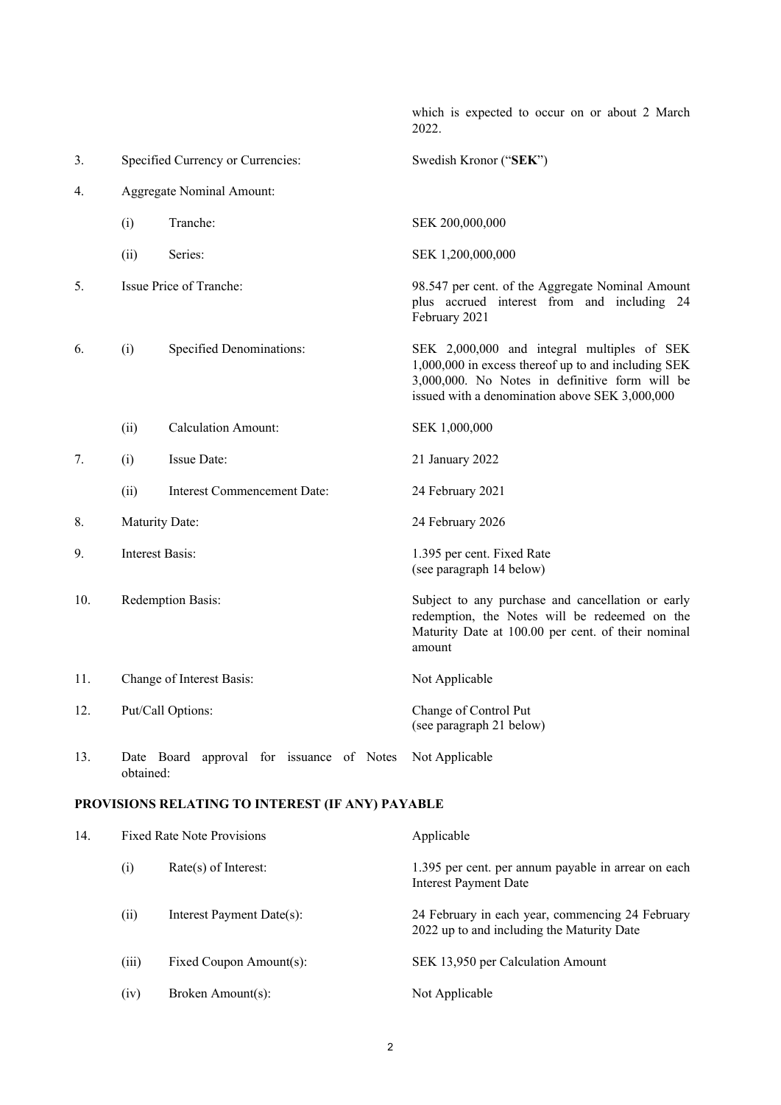which is expected to occur on or about 2 March 2022. 3. Specified Currency or Currencies: Swedish Kronor ("**SEK**") 4. Aggregate Nominal Amount: (i) Tranche: SEK 200,000,000 (ii) Series: SEK 1,200,000,000 5. Issue Price of Tranche: 98.547 per cent. of the Aggregate Nominal Amount plus accrued interest from and including 24 February 2021 6. (i) Specified Denominations: SEK 2,000,000 and integral multiples of SEK 1,000,000 in excess thereof up to and including SEK 3,000,000. No Notes in definitive form will be issued with a denomination above SEK 3,000,000 (ii) Calculation Amount: SEK 1,000,000 7. (i) Issue Date: 21 January 2022 (ii) Interest Commencement Date: 24 February 2021 8. Maturity Date: 24 February 2026 9. Interest Basis: 1.395 per cent. Fixed Rate (see paragraph 14 below) 10. Redemption Basis: Subject to any purchase and cancellation or early redemption, the Notes will be redeemed on the Maturity Date at 100.00 per cent. of their nominal amount 11. Change of Interest Basis: Not Applicable 12. Put/Call Options: Change of Control Put (see paragraph 21 below) 13. Date Board approval for issuance of Notes Not Applicable obtained: **PROVISIONS RELATING TO INTEREST (IF ANY) PAYABLE** 14. Fixed Rate Note Provisions **Applicable** (i) Rate(s) of Interest: 1.395 per cent. per annum payable in arrear on each Interest Payment Date (ii) Interest Payment Date(s): 24 February in each year, commencing 24 February 2022 up to and including the Maturity Date

(iii) Fixed Coupon Amount(s): SEK 13,950 per Calculation Amount

(iv) Broken Amount(s): Not Applicable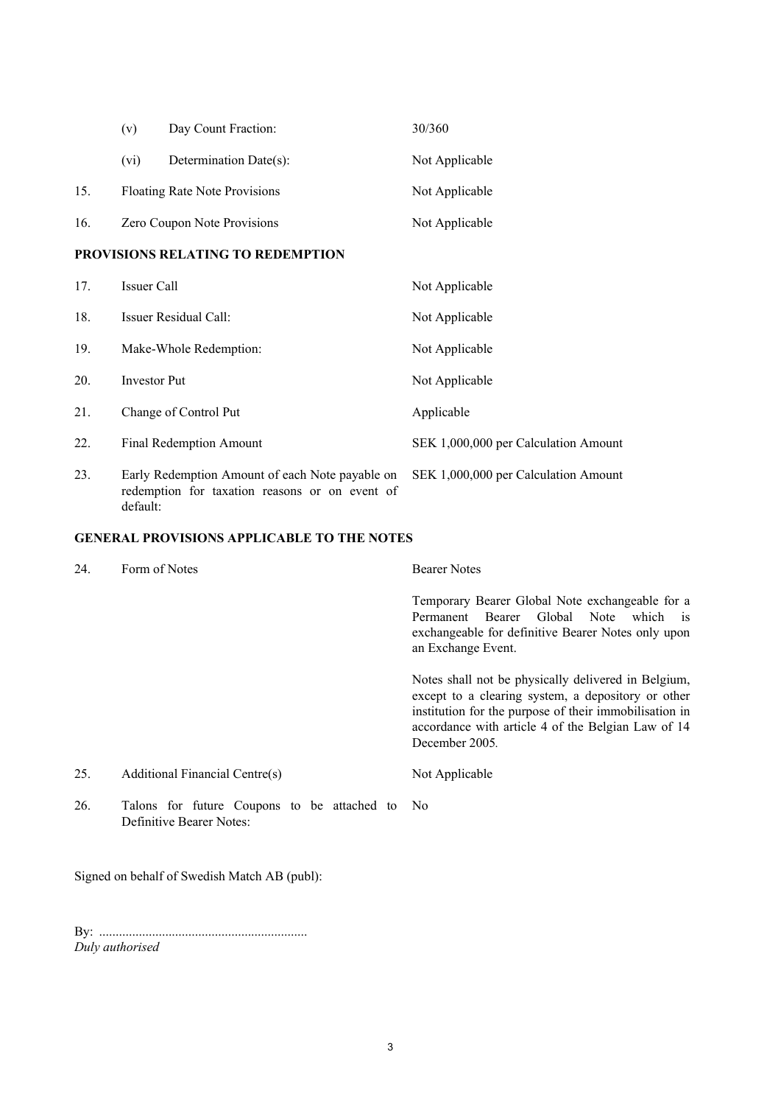|                                   | (v)                                                                                                           | Day Count Fraction:            | 30/360                               |  |  |
|-----------------------------------|---------------------------------------------------------------------------------------------------------------|--------------------------------|--------------------------------------|--|--|
|                                   | (vi)                                                                                                          | Determination Date(s):         | Not Applicable                       |  |  |
| 15.                               |                                                                                                               | Floating Rate Note Provisions  | Not Applicable                       |  |  |
| 16.                               | Zero Coupon Note Provisions                                                                                   |                                | Not Applicable                       |  |  |
| PROVISIONS RELATING TO REDEMPTION |                                                                                                               |                                |                                      |  |  |
| 17.                               | Issuer Call                                                                                                   |                                | Not Applicable                       |  |  |
| 18.                               |                                                                                                               | Issuer Residual Call:          | Not Applicable                       |  |  |
| 19.                               |                                                                                                               | Make-Whole Redemption:         | Not Applicable                       |  |  |
| 20.                               | Investor Put                                                                                                  |                                | Not Applicable                       |  |  |
| 21.                               |                                                                                                               | Change of Control Put          | Applicable                           |  |  |
| 22.                               |                                                                                                               | <b>Final Redemption Amount</b> | SEK 1,000,000 per Calculation Amount |  |  |
| 23.                               | Early Redemption Amount of each Note payable on<br>redemption for taxation reasons or on event of<br>default: |                                | SEK 1,000,000 per Calculation Amount |  |  |

# **GENERAL PROVISIONS APPLICABLE TO THE NOTES**

| 24. | Form of Notes                                                           | <b>Bearer Notes</b>                                                                                                                                                                                                                         |  |
|-----|-------------------------------------------------------------------------|---------------------------------------------------------------------------------------------------------------------------------------------------------------------------------------------------------------------------------------------|--|
|     |                                                                         | Temporary Bearer Global Note exchangeable for a<br>Permanent Bearer Global Note which is<br>exchangeable for definitive Bearer Notes only upon<br>an Exchange Event.                                                                        |  |
|     |                                                                         | Notes shall not be physically delivered in Belgium,<br>except to a clearing system, a depository or other<br>institution for the purpose of their immobilisation in<br>accordance with article 4 of the Belgian Law of 14<br>December 2005. |  |
| 25. | Additional Financial Centre(s)                                          | Not Applicable                                                                                                                                                                                                                              |  |
| 26. | Talons for future Coupons to be attached to<br>Definitive Bearer Notes: | N <sub>o</sub>                                                                                                                                                                                                                              |  |

Signed on behalf of Swedish Match AB (publ):

By: ............................................................... *Duly authorised*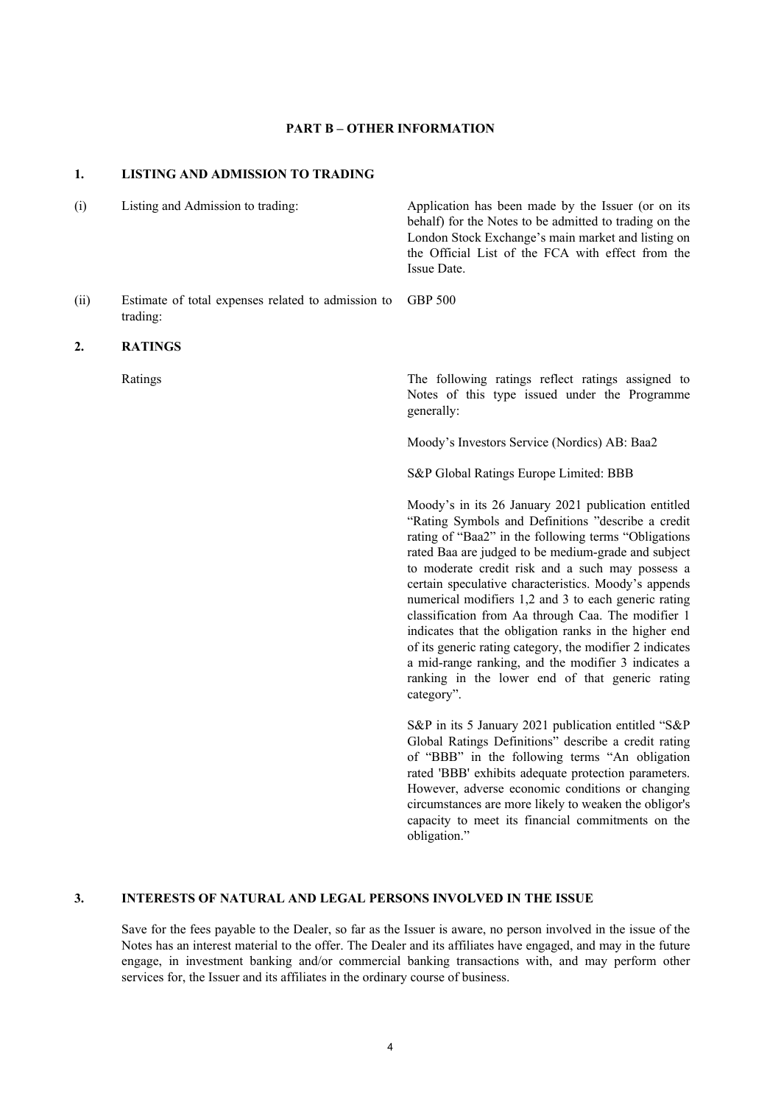### **PART B – OTHER INFORMATION**

## **1. LISTING AND ADMISSION TO TRADING**

(i) Listing and Admission to trading: Application has been made by the Issuer (or on its behalf) for the Notes to be admitted to trading on the London Stock Exchange's main market and listing on the Official List of the FCA with effect from the Issue Date. (ii) Estimate of total expenses related to admission to trading: GBP 500 **2. RATINGS** Ratings The following ratings reflect ratings assigned to Notes of this type issued under the Programme generally: Moody's Investors Service (Nordics) AB: Baa2 S&P Global Ratings Europe Limited: BBB Moody's in its 26 January 2021 publication entitled "Rating Symbols and Definitions "describe a credit rating of "Baa2" in the following terms "Obligations rated Baa are judged to be medium-grade and subject to moderate credit risk and a such may possess a certain speculative characteristics. Moody's appends numerical modifiers 1,2 and 3 to each generic rating classification from Aa through Caa. The modifier 1 indicates that the obligation ranks in the higher end of its generic rating category, the modifier 2 indicates a mid-range ranking, and the modifier 3 indicates a ranking in the lower end of that generic rating category". S&P in its 5 January 2021 publication entitled "S&P Global Ratings Definitions" describe a credit rating of "BBB" in the following terms "An obligation

rated 'BBB' exhibits adequate protection parameters. However, adverse economic conditions or changing circumstances are more likely to weaken the obligor's capacity to meet its financial commitments on the obligation."

# **3. INTERESTS OF NATURAL AND LEGAL PERSONS INVOLVED IN THE ISSUE**

Save for the fees payable to the Dealer, so far as the Issuer is aware, no person involved in the issue of the Notes has an interest material to the offer. The Dealer and its affiliates have engaged, and may in the future engage, in investment banking and/or commercial banking transactions with, and may perform other services for, the Issuer and its affiliates in the ordinary course of business.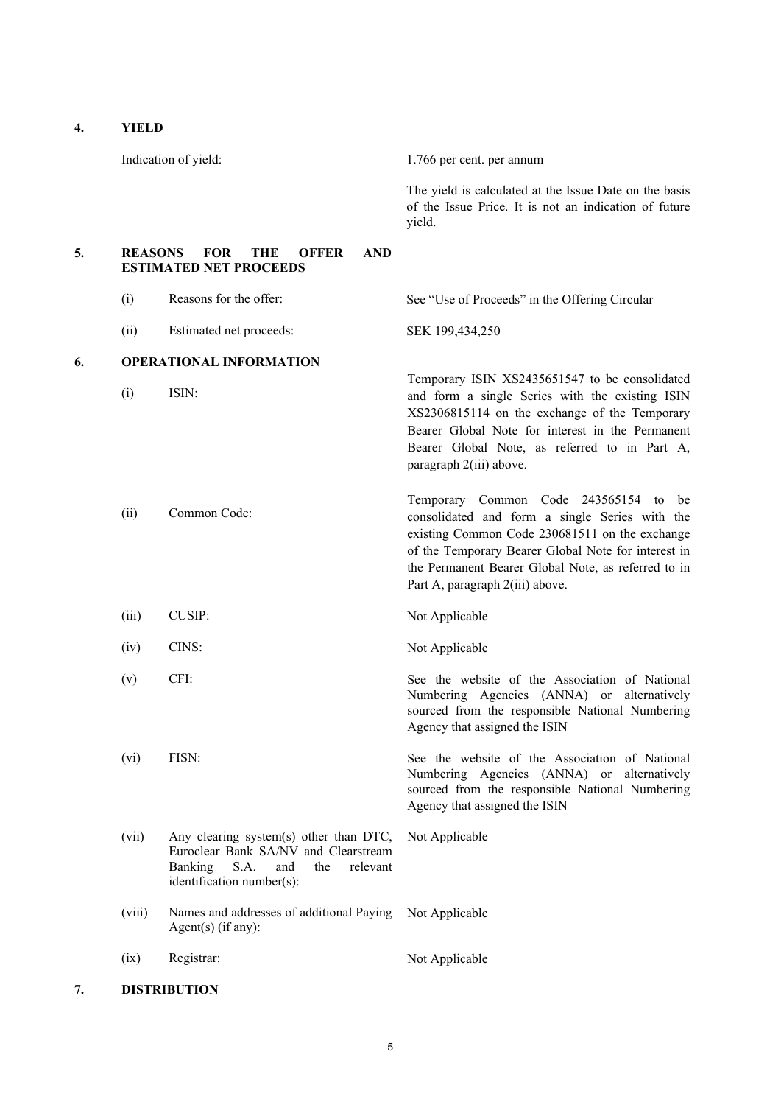Indication of yield: 1.766 per cent. per annum The yield is calculated at the Issue Date on the basis of the Issue Price. It is not an indication of future yield. **5. REASONS FOR THE OFFER AND ESTIMATED NET PROCEEDS** (i) Reasons for the offer: See "Use of Proceeds" in the Offering Circular (ii) Estimated net proceeds: SEK 199,434,250 **6. OPERATIONAL INFORMATION** (i) ISIN: Temporary ISIN XS2435651547 to be consolidated and form a single Series with the existing ISIN XS2306815114 on the exchange of the Temporary Bearer Global Note for interest in the Permanent Bearer Global Note, as referred to in Part A, paragraph 2(iii) above. (ii) Common Code: Temporary Common Code 243565154 to be consolidated and form a single Series with the existing Common Code 230681511 on the exchange of the Temporary Bearer Global Note for interest in the Permanent Bearer Global Note, as referred to in Part A, paragraph 2(iii) above. (iii) CUSIP: Not Applicable (iv) CINS: Not Applicable (v) CFI: See the website of the Association of National Numbering Agencies (ANNA) or alternatively sourced from the responsible National Numbering Agency that assigned the ISIN (vi) FISN: See the website of the Association of National Numbering Agencies (ANNA) or alternatively sourced from the responsible National Numbering Agency that assigned the ISIN (vii) Any clearing system(s) other than DTC, Euroclear Bank SA/NV and Clearstream Banking S.A. and the relevant identification number(s): Not Applicable (viii) Names and addresses of additional Paying Not Applicable Agent(s) (if any): (ix) Registrar: Not Applicable **7. DISTRIBUTION**